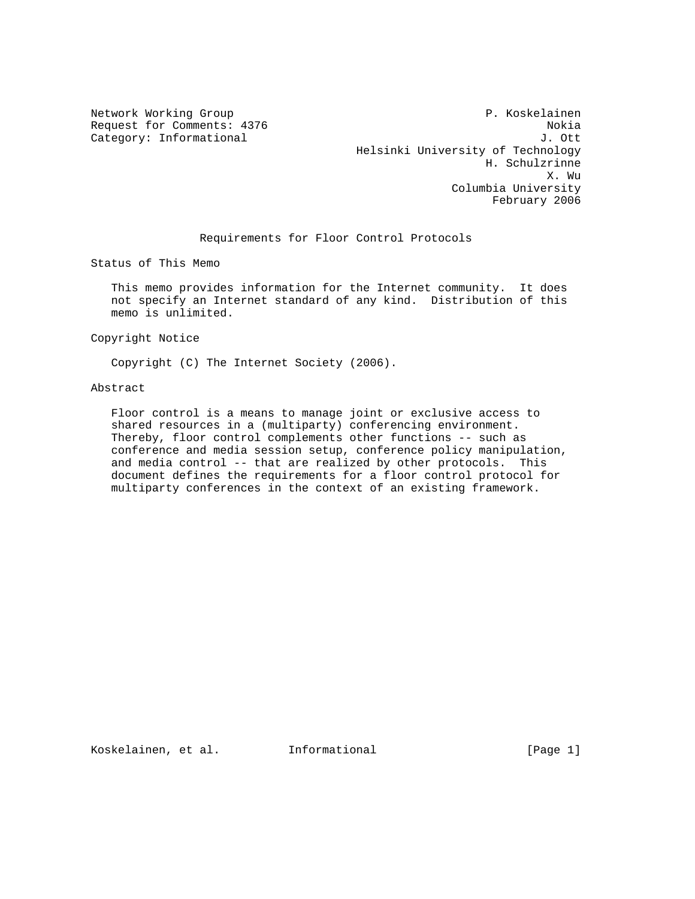Network Working Group **P. Koskelainen** Request for Comments: 4376 Nokia Category: Informational  $J.$  Ott Helsinki University of Technology H. Schulzrinne X. Wu Columbia University February 2006

### Requirements for Floor Control Protocols

Status of This Memo

 This memo provides information for the Internet community. It does not specify an Internet standard of any kind. Distribution of this memo is unlimited.

Copyright Notice

Copyright (C) The Internet Society (2006).

# Abstract

 Floor control is a means to manage joint or exclusive access to shared resources in a (multiparty) conferencing environment. Thereby, floor control complements other functions -- such as conference and media session setup, conference policy manipulation, and media control -- that are realized by other protocols. This document defines the requirements for a floor control protocol for multiparty conferences in the context of an existing framework.

Koskelainen, et al. 1nformational (Page 1)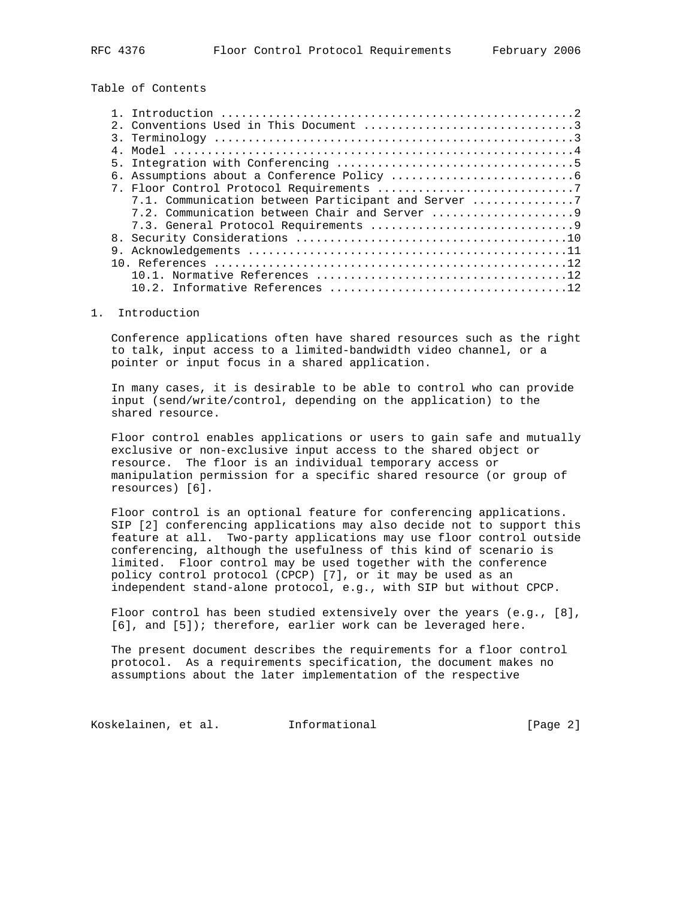Table of Contents

|  | 7.1. Communication between Participant and Server 7 |
|--|-----------------------------------------------------|
|  |                                                     |
|  |                                                     |
|  |                                                     |
|  |                                                     |
|  |                                                     |
|  |                                                     |
|  |                                                     |

#### 1. Introduction

 Conference applications often have shared resources such as the right to talk, input access to a limited-bandwidth video channel, or a pointer or input focus in a shared application.

 In many cases, it is desirable to be able to control who can provide input (send/write/control, depending on the application) to the shared resource.

 Floor control enables applications or users to gain safe and mutually exclusive or non-exclusive input access to the shared object or resource. The floor is an individual temporary access or manipulation permission for a specific shared resource (or group of resources) [6].

 Floor control is an optional feature for conferencing applications. SIP [2] conferencing applications may also decide not to support this feature at all. Two-party applications may use floor control outside conferencing, although the usefulness of this kind of scenario is limited. Floor control may be used together with the conference policy control protocol (CPCP) [7], or it may be used as an independent stand-alone protocol, e.g., with SIP but without CPCP.

 Floor control has been studied extensively over the years (e.g., [8], [6], and [5]); therefore, earlier work can be leveraged here.

 The present document describes the requirements for a floor control protocol. As a requirements specification, the document makes no assumptions about the later implementation of the respective

Koskelainen, et al. 1nformational (Page 2)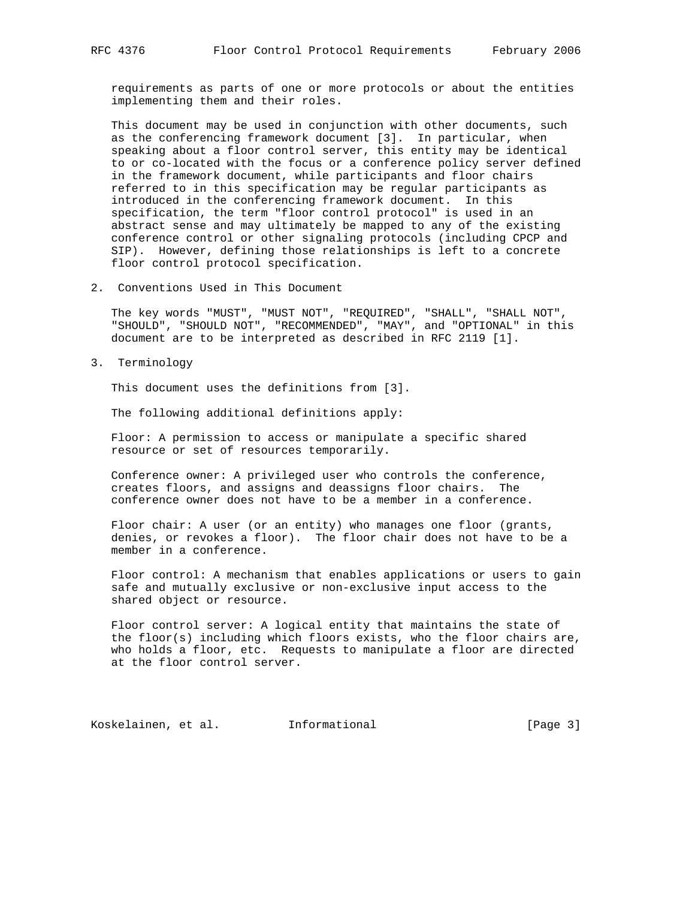requirements as parts of one or more protocols or about the entities implementing them and their roles.

 This document may be used in conjunction with other documents, such as the conferencing framework document [3]. In particular, when speaking about a floor control server, this entity may be identical to or co-located with the focus or a conference policy server defined in the framework document, while participants and floor chairs referred to in this specification may be regular participants as introduced in the conferencing framework document. In this specification, the term "floor control protocol" is used in an abstract sense and may ultimately be mapped to any of the existing conference control or other signaling protocols (including CPCP and SIP). However, defining those relationships is left to a concrete floor control protocol specification.

2. Conventions Used in This Document

 The key words "MUST", "MUST NOT", "REQUIRED", "SHALL", "SHALL NOT", "SHOULD", "SHOULD NOT", "RECOMMENDED", "MAY", and "OPTIONAL" in this document are to be interpreted as described in RFC 2119 [1].

3. Terminology

This document uses the definitions from [3].

The following additional definitions apply:

 Floor: A permission to access or manipulate a specific shared resource or set of resources temporarily.

 Conference owner: A privileged user who controls the conference, creates floors, and assigns and deassigns floor chairs. The conference owner does not have to be a member in a conference.

Floor chair: A user (or an entity) who manages one floor (grants, denies, or revokes a floor). The floor chair does not have to be a member in a conference.

 Floor control: A mechanism that enables applications or users to gain safe and mutually exclusive or non-exclusive input access to the shared object or resource.

 Floor control server: A logical entity that maintains the state of the floor(s) including which floors exists, who the floor chairs are, who holds a floor, etc. Requests to manipulate a floor are directed at the floor control server.

Koskelainen, et al. 1nformational (Page 3)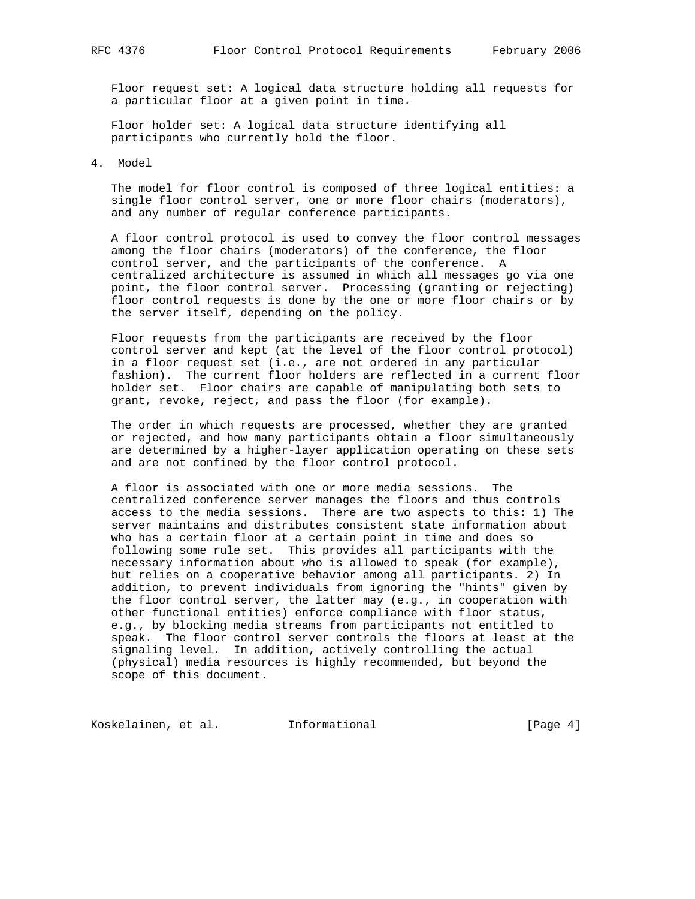Floor request set: A logical data structure holding all requests for a particular floor at a given point in time.

 Floor holder set: A logical data structure identifying all participants who currently hold the floor.

# 4. Model

 The model for floor control is composed of three logical entities: a single floor control server, one or more floor chairs (moderators), and any number of regular conference participants.

 A floor control protocol is used to convey the floor control messages among the floor chairs (moderators) of the conference, the floor control server, and the participants of the conference. A centralized architecture is assumed in which all messages go via one point, the floor control server. Processing (granting or rejecting) floor control requests is done by the one or more floor chairs or by the server itself, depending on the policy.

 Floor requests from the participants are received by the floor control server and kept (at the level of the floor control protocol) in a floor request set (i.e., are not ordered in any particular fashion). The current floor holders are reflected in a current floor holder set. Floor chairs are capable of manipulating both sets to grant, revoke, reject, and pass the floor (for example).

 The order in which requests are processed, whether they are granted or rejected, and how many participants obtain a floor simultaneously are determined by a higher-layer application operating on these sets and are not confined by the floor control protocol.

 A floor is associated with one or more media sessions. The centralized conference server manages the floors and thus controls access to the media sessions. There are two aspects to this: 1) The server maintains and distributes consistent state information about who has a certain floor at a certain point in time and does so following some rule set. This provides all participants with the necessary information about who is allowed to speak (for example), but relies on a cooperative behavior among all participants. 2) In addition, to prevent individuals from ignoring the "hints" given by the floor control server, the latter may (e.g., in cooperation with other functional entities) enforce compliance with floor status, e.g., by blocking media streams from participants not entitled to speak. The floor control server controls the floors at least at the signaling level. In addition, actively controlling the actual (physical) media resources is highly recommended, but beyond the scope of this document.

Koskelainen, et al. 1nformational (Page 4)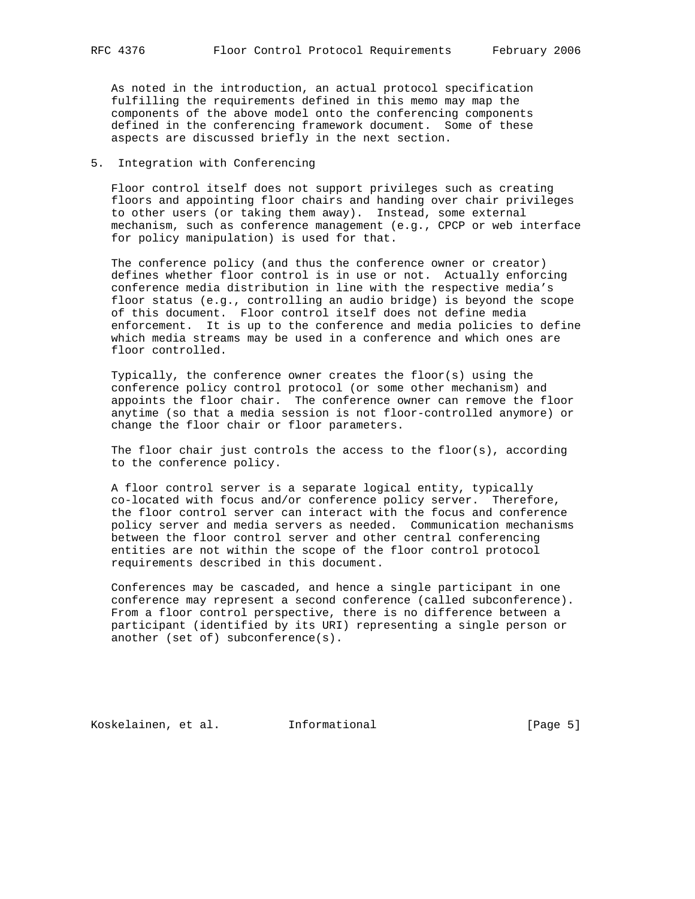As noted in the introduction, an actual protocol specification fulfilling the requirements defined in this memo may map the components of the above model onto the conferencing components defined in the conferencing framework document. Some of these aspects are discussed briefly in the next section.

### 5. Integration with Conferencing

 Floor control itself does not support privileges such as creating floors and appointing floor chairs and handing over chair privileges to other users (or taking them away). Instead, some external mechanism, such as conference management (e.g., CPCP or web interface for policy manipulation) is used for that.

 The conference policy (and thus the conference owner or creator) defines whether floor control is in use or not. Actually enforcing conference media distribution in line with the respective media's floor status (e.g., controlling an audio bridge) is beyond the scope of this document. Floor control itself does not define media enforcement. It is up to the conference and media policies to define which media streams may be used in a conference and which ones are floor controlled.

 Typically, the conference owner creates the floor(s) using the conference policy control protocol (or some other mechanism) and appoints the floor chair. The conference owner can remove the floor anytime (so that a media session is not floor-controlled anymore) or change the floor chair or floor parameters.

 The floor chair just controls the access to the floor(s), according to the conference policy.

 A floor control server is a separate logical entity, typically co-located with focus and/or conference policy server. Therefore, the floor control server can interact with the focus and conference policy server and media servers as needed. Communication mechanisms between the floor control server and other central conferencing entities are not within the scope of the floor control protocol requirements described in this document.

 Conferences may be cascaded, and hence a single participant in one conference may represent a second conference (called subconference). From a floor control perspective, there is no difference between a participant (identified by its URI) representing a single person or another (set of) subconference(s).

Koskelainen, et al. 1nformational (Page 5)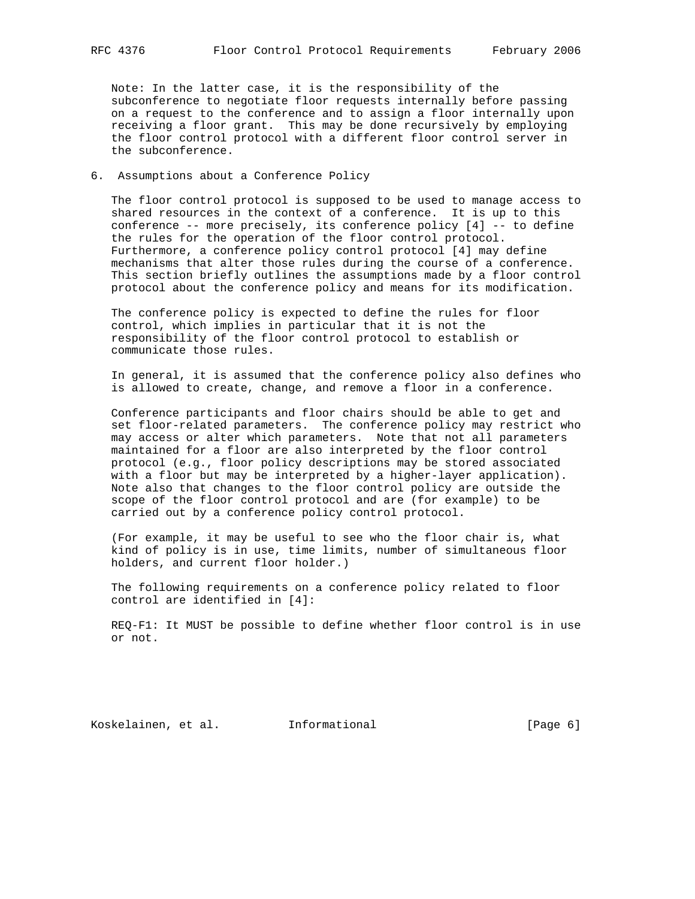Note: In the latter case, it is the responsibility of the subconference to negotiate floor requests internally before passing on a request to the conference and to assign a floor internally upon receiving a floor grant. This may be done recursively by employing the floor control protocol with a different floor control server in the subconference.

#### 6. Assumptions about a Conference Policy

 The floor control protocol is supposed to be used to manage access to shared resources in the context of a conference. It is up to this conference -- more precisely, its conference policy [4] -- to define the rules for the operation of the floor control protocol. Furthermore, a conference policy control protocol [4] may define mechanisms that alter those rules during the course of a conference. This section briefly outlines the assumptions made by a floor control protocol about the conference policy and means for its modification.

 The conference policy is expected to define the rules for floor control, which implies in particular that it is not the responsibility of the floor control protocol to establish or communicate those rules.

 In general, it is assumed that the conference policy also defines who is allowed to create, change, and remove a floor in a conference.

 Conference participants and floor chairs should be able to get and set floor-related parameters. The conference policy may restrict who may access or alter which parameters. Note that not all parameters maintained for a floor are also interpreted by the floor control protocol (e.g., floor policy descriptions may be stored associated with a floor but may be interpreted by a higher-layer application). Note also that changes to the floor control policy are outside the scope of the floor control protocol and are (for example) to be carried out by a conference policy control protocol.

 (For example, it may be useful to see who the floor chair is, what kind of policy is in use, time limits, number of simultaneous floor holders, and current floor holder.)

 The following requirements on a conference policy related to floor control are identified in [4]:

 REQ-F1: It MUST be possible to define whether floor control is in use or not.

Koskelainen, et al. 1nformational (Page 6)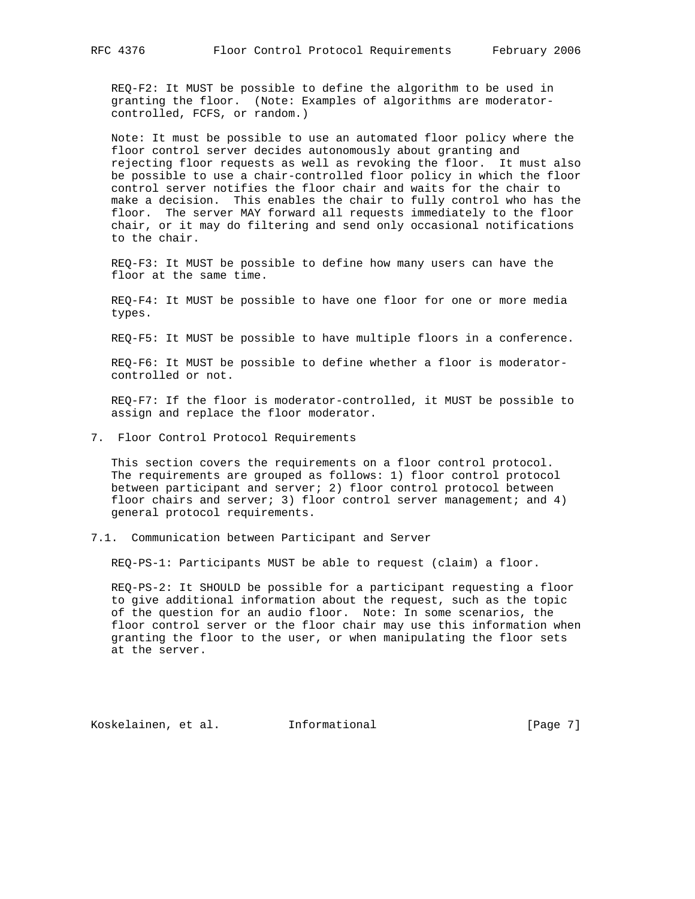REQ-F2: It MUST be possible to define the algorithm to be used in granting the floor. (Note: Examples of algorithms are moderator controlled, FCFS, or random.)

 Note: It must be possible to use an automated floor policy where the floor control server decides autonomously about granting and rejecting floor requests as well as revoking the floor. It must also be possible to use a chair-controlled floor policy in which the floor control server notifies the floor chair and waits for the chair to make a decision. This enables the chair to fully control who has the floor. The server MAY forward all requests immediately to the floor chair, or it may do filtering and send only occasional notifications to the chair.

 REQ-F3: It MUST be possible to define how many users can have the floor at the same time.

 REQ-F4: It MUST be possible to have one floor for one or more media types.

REQ-F5: It MUST be possible to have multiple floors in a conference.

 REQ-F6: It MUST be possible to define whether a floor is moderator controlled or not.

 REQ-F7: If the floor is moderator-controlled, it MUST be possible to assign and replace the floor moderator.

7. Floor Control Protocol Requirements

 This section covers the requirements on a floor control protocol. The requirements are grouped as follows: 1) floor control protocol between participant and server; 2) floor control protocol between floor chairs and server; 3) floor control server management; and 4) general protocol requirements.

7.1. Communication between Participant and Server

REQ-PS-1: Participants MUST be able to request (claim) a floor.

 REQ-PS-2: It SHOULD be possible for a participant requesting a floor to give additional information about the request, such as the topic of the question for an audio floor. Note: In some scenarios, the floor control server or the floor chair may use this information when granting the floor to the user, or when manipulating the floor sets at the server.

Koskelainen, et al. 1nformational (Page 7)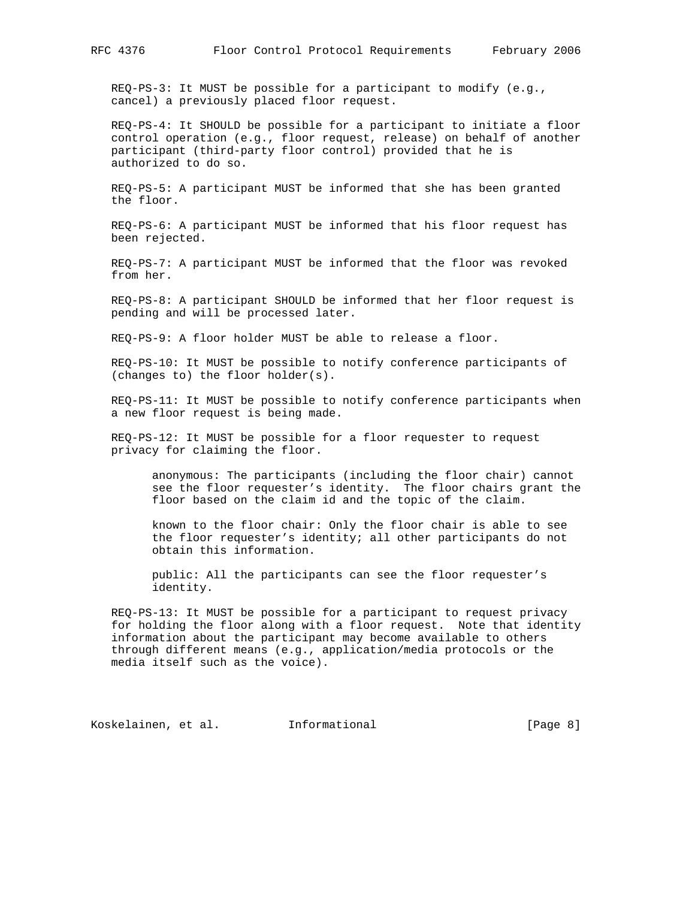REQ-PS-3: It MUST be possible for a participant to modify (e.g., cancel) a previously placed floor request.

 REQ-PS-4: It SHOULD be possible for a participant to initiate a floor control operation (e.g., floor request, release) on behalf of another participant (third-party floor control) provided that he is authorized to do so.

 REQ-PS-5: A participant MUST be informed that she has been granted the floor.

 REQ-PS-6: A participant MUST be informed that his floor request has been rejected.

 REQ-PS-7: A participant MUST be informed that the floor was revoked from her.

 REQ-PS-8: A participant SHOULD be informed that her floor request is pending and will be processed later.

REQ-PS-9: A floor holder MUST be able to release a floor.

 REQ-PS-10: It MUST be possible to notify conference participants of (changes to) the floor holder(s).

 REQ-PS-11: It MUST be possible to notify conference participants when a new floor request is being made.

 REQ-PS-12: It MUST be possible for a floor requester to request privacy for claiming the floor.

 anonymous: The participants (including the floor chair) cannot see the floor requester's identity. The floor chairs grant the floor based on the claim id and the topic of the claim.

 known to the floor chair: Only the floor chair is able to see the floor requester's identity; all other participants do not obtain this information.

 public: All the participants can see the floor requester's identity.

 REQ-PS-13: It MUST be possible for a participant to request privacy for holding the floor along with a floor request. Note that identity information about the participant may become available to others through different means (e.g., application/media protocols or the media itself such as the voice).

Koskelainen, et al. 1nformational (Page 8)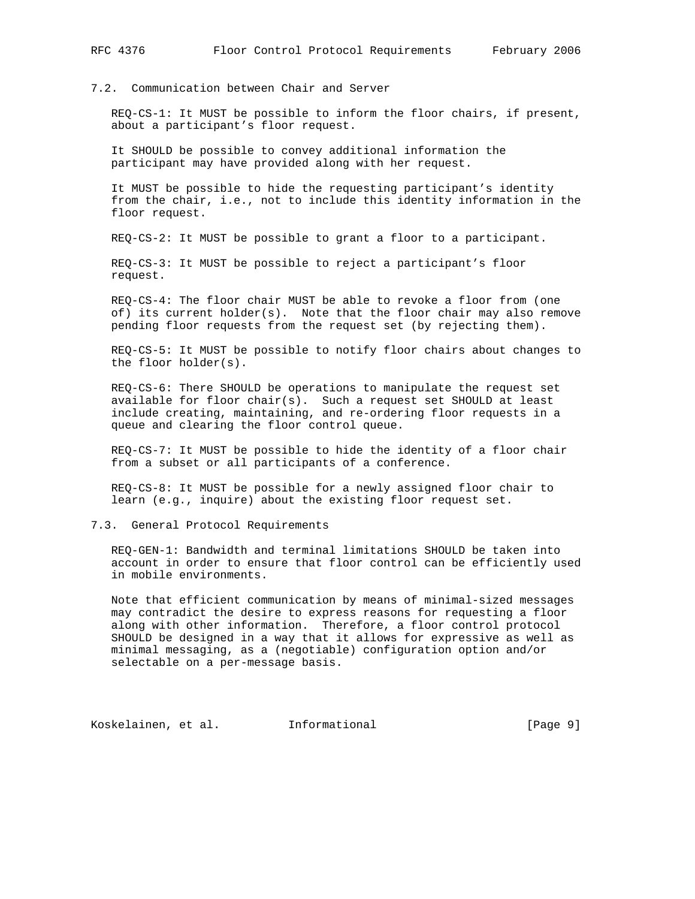# 7.2. Communication between Chair and Server

 REQ-CS-1: It MUST be possible to inform the floor chairs, if present, about a participant's floor request.

 It SHOULD be possible to convey additional information the participant may have provided along with her request.

 It MUST be possible to hide the requesting participant's identity from the chair, i.e., not to include this identity information in the floor request.

REQ-CS-2: It MUST be possible to grant a floor to a participant.

 REQ-CS-3: It MUST be possible to reject a participant's floor request.

 REQ-CS-4: The floor chair MUST be able to revoke a floor from (one of) its current holder(s). Note that the floor chair may also remove pending floor requests from the request set (by rejecting them).

 REQ-CS-5: It MUST be possible to notify floor chairs about changes to the floor holder(s).

 REQ-CS-6: There SHOULD be operations to manipulate the request set available for floor chair(s). Such a request set SHOULD at least include creating, maintaining, and re-ordering floor requests in a queue and clearing the floor control queue.

 REQ-CS-7: It MUST be possible to hide the identity of a floor chair from a subset or all participants of a conference.

 REQ-CS-8: It MUST be possible for a newly assigned floor chair to learn (e.g., inquire) about the existing floor request set.

7.3. General Protocol Requirements

 REQ-GEN-1: Bandwidth and terminal limitations SHOULD be taken into account in order to ensure that floor control can be efficiently used in mobile environments.

 Note that efficient communication by means of minimal-sized messages may contradict the desire to express reasons for requesting a floor along with other information. Therefore, a floor control protocol SHOULD be designed in a way that it allows for expressive as well as minimal messaging, as a (negotiable) configuration option and/or selectable on a per-message basis.

Koskelainen, et al. 1nformational (Page 9)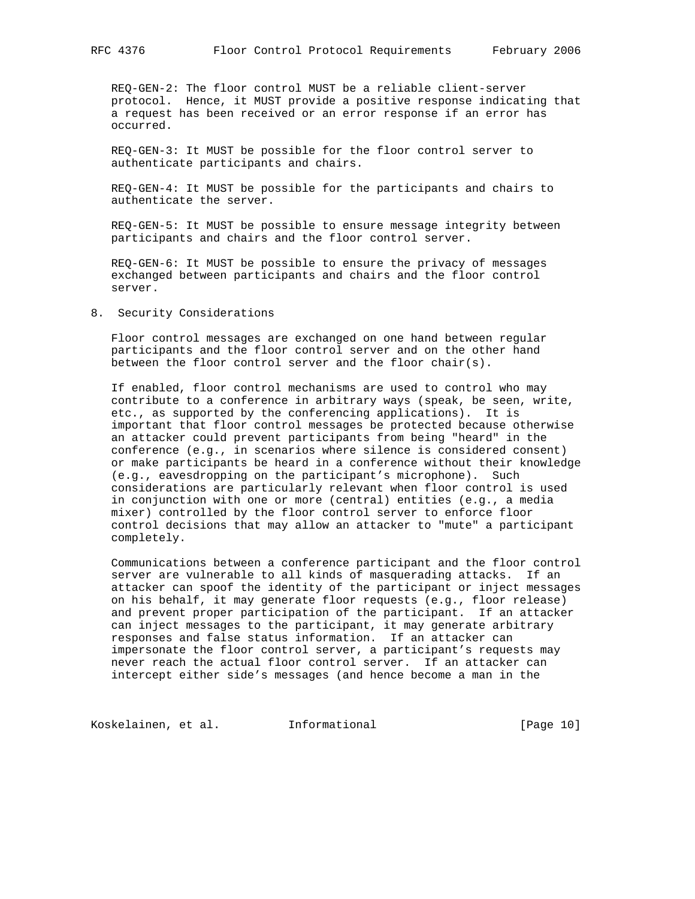REQ-GEN-2: The floor control MUST be a reliable client-server protocol. Hence, it MUST provide a positive response indicating that a request has been received or an error response if an error has occurred.

 REQ-GEN-3: It MUST be possible for the floor control server to authenticate participants and chairs.

 REQ-GEN-4: It MUST be possible for the participants and chairs to authenticate the server.

 REQ-GEN-5: It MUST be possible to ensure message integrity between participants and chairs and the floor control server.

 REQ-GEN-6: It MUST be possible to ensure the privacy of messages exchanged between participants and chairs and the floor control server.

### 8. Security Considerations

 Floor control messages are exchanged on one hand between regular participants and the floor control server and on the other hand between the floor control server and the floor chair(s).

 If enabled, floor control mechanisms are used to control who may contribute to a conference in arbitrary ways (speak, be seen, write, etc., as supported by the conferencing applications). It is important that floor control messages be protected because otherwise an attacker could prevent participants from being "heard" in the conference (e.g., in scenarios where silence is considered consent) or make participants be heard in a conference without their knowledge (e.g., eavesdropping on the participant's microphone). Such considerations are particularly relevant when floor control is used in conjunction with one or more (central) entities (e.g., a media mixer) controlled by the floor control server to enforce floor control decisions that may allow an attacker to "mute" a participant completely.

 Communications between a conference participant and the floor control server are vulnerable to all kinds of masquerading attacks. If an attacker can spoof the identity of the participant or inject messages on his behalf, it may generate floor requests (e.g., floor release) and prevent proper participation of the participant. If an attacker can inject messages to the participant, it may generate arbitrary responses and false status information. If an attacker can impersonate the floor control server, a participant's requests may never reach the actual floor control server. If an attacker can intercept either side's messages (and hence become a man in the

Koskelainen, et al. 1nformational 1999 [Page 10]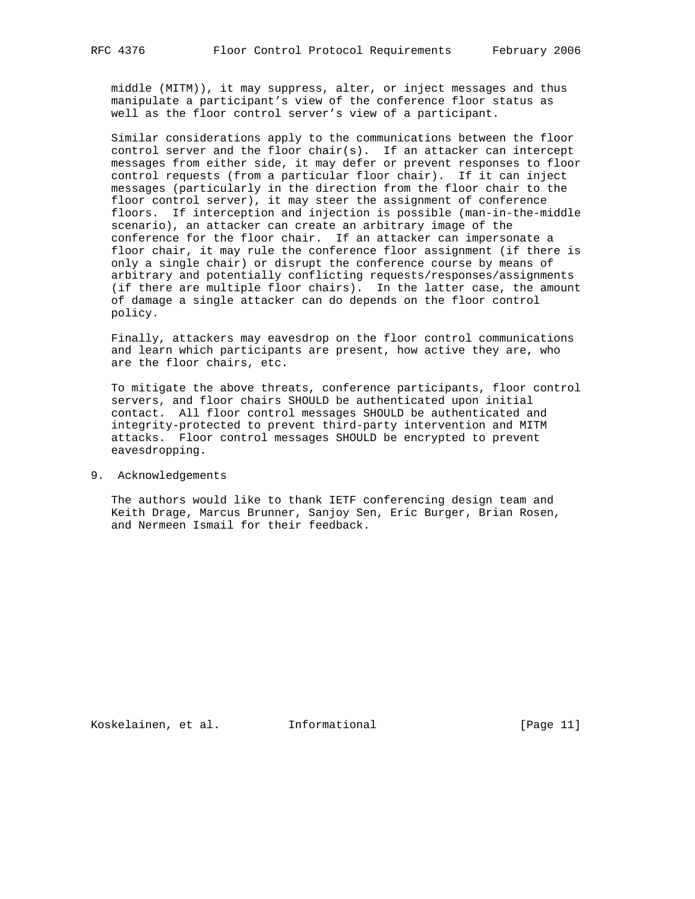middle (MITM)), it may suppress, alter, or inject messages and thus manipulate a participant's view of the conference floor status as well as the floor control server's view of a participant.

 Similar considerations apply to the communications between the floor control server and the floor chair(s). If an attacker can intercept messages from either side, it may defer or prevent responses to floor control requests (from a particular floor chair). If it can inject messages (particularly in the direction from the floor chair to the floor control server), it may steer the assignment of conference floors. If interception and injection is possible (man-in-the-middle scenario), an attacker can create an arbitrary image of the conference for the floor chair. If an attacker can impersonate a floor chair, it may rule the conference floor assignment (if there is only a single chair) or disrupt the conference course by means of arbitrary and potentially conflicting requests/responses/assignments (if there are multiple floor chairs). In the latter case, the amount of damage a single attacker can do depends on the floor control policy.

 Finally, attackers may eavesdrop on the floor control communications and learn which participants are present, how active they are, who are the floor chairs, etc.

 To mitigate the above threats, conference participants, floor control servers, and floor chairs SHOULD be authenticated upon initial contact. All floor control messages SHOULD be authenticated and integrity-protected to prevent third-party intervention and MITM attacks. Floor control messages SHOULD be encrypted to prevent eavesdropping.

9. Acknowledgements

 The authors would like to thank IETF conferencing design team and Keith Drage, Marcus Brunner, Sanjoy Sen, Eric Burger, Brian Rosen, and Nermeen Ismail for their feedback.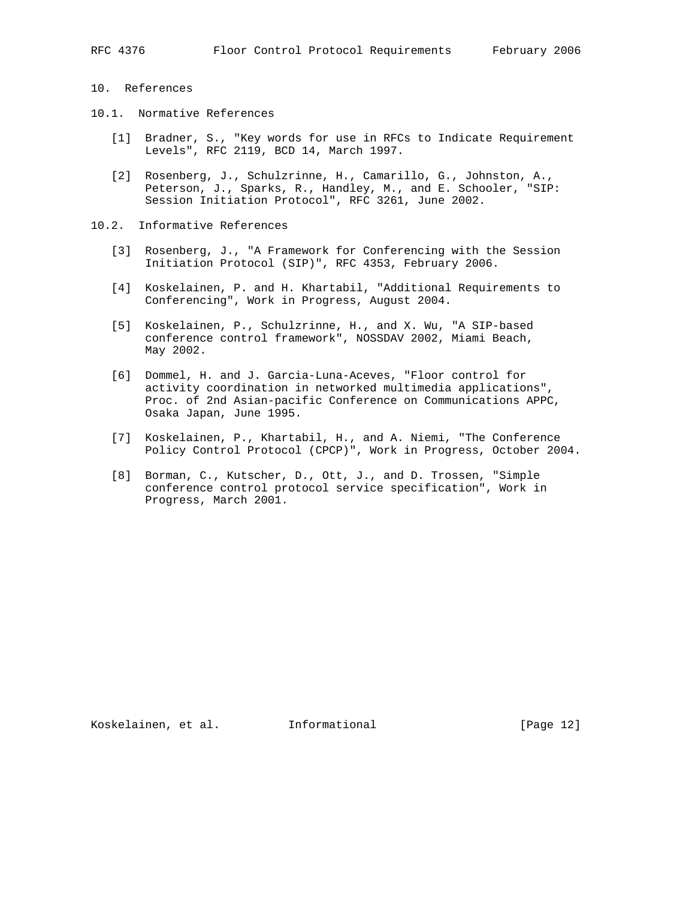# 10. References

- 10.1. Normative References
	- [1] Bradner, S., "Key words for use in RFCs to Indicate Requirement Levels", RFC 2119, BCD 14, March 1997.
	- [2] Rosenberg, J., Schulzrinne, H., Camarillo, G., Johnston, A., Peterson, J., Sparks, R., Handley, M., and E. Schooler, "SIP: Session Initiation Protocol", RFC 3261, June 2002.
- 10.2. Informative References
	- [3] Rosenberg, J., "A Framework for Conferencing with the Session Initiation Protocol (SIP)", RFC 4353, February 2006.
	- [4] Koskelainen, P. and H. Khartabil, "Additional Requirements to Conferencing", Work in Progress, August 2004.
	- [5] Koskelainen, P., Schulzrinne, H., and X. Wu, "A SIP-based conference control framework", NOSSDAV 2002, Miami Beach, May 2002.
	- [6] Dommel, H. and J. Garcia-Luna-Aceves, "Floor control for activity coordination in networked multimedia applications", Proc. of 2nd Asian-pacific Conference on Communications APPC, Osaka Japan, June 1995.
	- [7] Koskelainen, P., Khartabil, H., and A. Niemi, "The Conference Policy Control Protocol (CPCP)", Work in Progress, October 2004.
	- [8] Borman, C., Kutscher, D., Ott, J., and D. Trossen, "Simple conference control protocol service specification", Work in Progress, March 2001.

Koskelainen, et al. Informational [Page 12]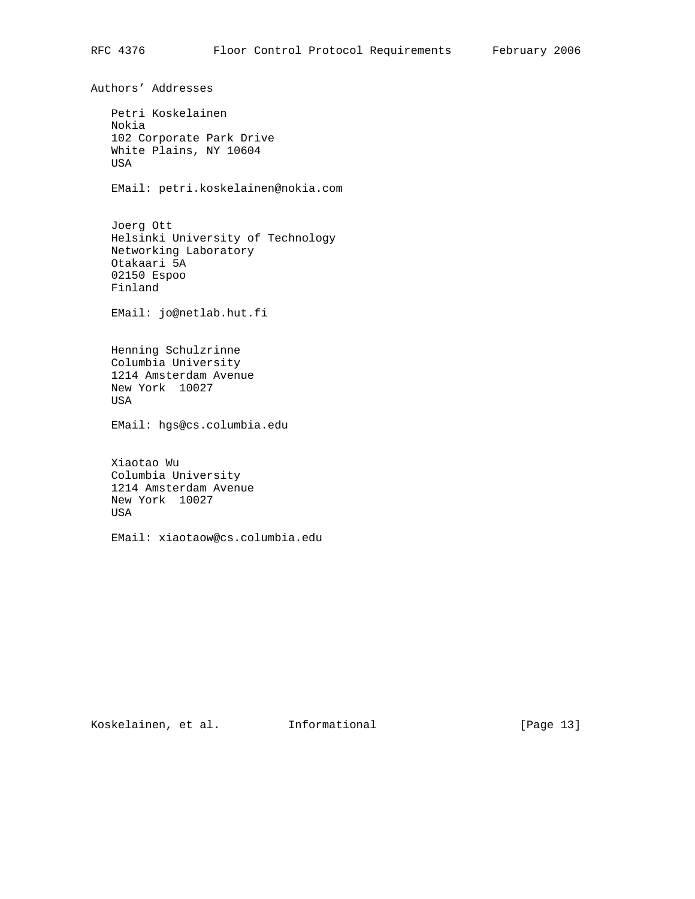Authors' Addresses Petri Koskelainen Nokia 102 Corporate Park Drive White Plains, NY 10604 USA EMail: petri.koskelainen@nokia.com Joerg Ott Helsinki University of Technology Networking Laboratory Otakaari 5A 02150 Espoo Finland EMail: jo@netlab.hut.fi Henning Schulzrinne Columbia University 1214 Amsterdam Avenue New York 10027 USA EMail: hgs@cs.columbia.edu Xiaotao Wu Columbia University 1214 Amsterdam Avenue New York 10027 USA EMail: xiaotaow@cs.columbia.edu

Koskelainen, et al. 1nformational [Page 13]